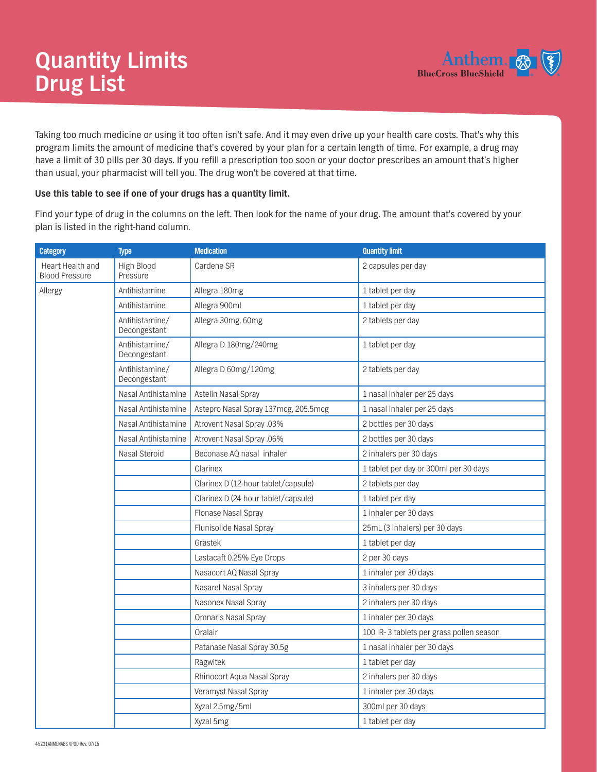

Taking too much medicine or using it too often isn't safe. And it may even drive up your health care costs. That's why this program limits the amount of medicine that's covered by your plan for a certain length of time. For example, a drug may have a limit of 30 pills per 30 days. If you refill a prescription too soon or your doctor prescribes an amount that's higher than usual, your pharmacist will tell you. The drug won't be covered at that time.

## **Use this table to see if one of your drugs has a quantity limit.**

Find your type of drug in the columns on the left. Then look for the name of your drug. The amount that's covered by your plan is listed in the right-hand column.

| <b>Category</b>                           | <b>Type</b>                    | <b>Medication</b>                    | <b>Quantity limit</b>                    |
|-------------------------------------------|--------------------------------|--------------------------------------|------------------------------------------|
| Heart Health and<br><b>Blood Pressure</b> | High Blood<br>Pressure         | Cardene SR                           | 2 capsules per day                       |
| Allergy                                   | Antihistamine                  | Allegra 180mg                        | 1 tablet per day                         |
|                                           | Antihistamine                  | Allegra 900ml                        | 1 tablet per day                         |
|                                           | Antihistamine/<br>Decongestant | Allegra 30mg, 60mg                   | 2 tablets per day                        |
|                                           | Antihistamine/<br>Decongestant | Allegra D 180mg/240mg                | 1 tablet per day                         |
|                                           | Antihistamine/<br>Decongestant | Allegra D 60mg/120mg                 | 2 tablets per day                        |
|                                           | Nasal Antihistamine            | Astelin Nasal Spray                  | 1 nasal inhaler per 25 days              |
|                                           | Nasal Antihistamine            | Astepro Nasal Spray 137mcg, 205.5mcg | 1 nasal inhaler per 25 days              |
|                                           | Nasal Antihistamine            | Atrovent Nasal Spray .03%            | 2 bottles per 30 days                    |
|                                           | Nasal Antihistamine            | Atrovent Nasal Spray .06%            | 2 bottles per 30 days                    |
|                                           | Nasal Steroid                  | Beconase AQ nasal inhaler            | 2 inhalers per 30 days                   |
|                                           |                                | Clarinex                             | 1 tablet per day or 300ml per 30 days    |
|                                           |                                | Clarinex D (12-hour tablet/capsule)  | 2 tablets per day                        |
|                                           |                                | Clarinex D (24-hour tablet/capsule)  | 1 tablet per day                         |
|                                           |                                | Flonase Nasal Spray                  | 1 inhaler per 30 days                    |
|                                           |                                | Flunisolide Nasal Spray              | 25mL (3 inhalers) per 30 days            |
|                                           |                                | Grastek                              | 1 tablet per day                         |
|                                           |                                | Lastacaft 0.25% Eye Drops            | 2 per 30 days                            |
|                                           |                                | Nasacort AQ Nasal Spray              | 1 inhaler per 30 days                    |
|                                           |                                | Nasarel Nasal Spray                  | 3 inhalers per 30 days                   |
|                                           |                                | Nasonex Nasal Spray                  | 2 inhalers per 30 days                   |
|                                           |                                | <b>Omnaris Nasal Spray</b>           | 1 inhaler per 30 days                    |
|                                           |                                | Oralair                              | 100 IR-3 tablets per grass pollen season |
|                                           |                                | Patanase Nasal Spray 30.5g           | 1 nasal inhaler per 30 days              |
|                                           |                                | Ragwitek                             | 1 tablet per day                         |
|                                           |                                | Rhinocort Aqua Nasal Spray           | 2 inhalers per 30 days                   |
|                                           |                                | Veramyst Nasal Spray                 | 1 inhaler per 30 days                    |
|                                           |                                | Xyzal 2.5mg/5ml                      | 300ml per 30 days                        |
|                                           |                                | Xyzal 5mg                            | 1 tablet per day                         |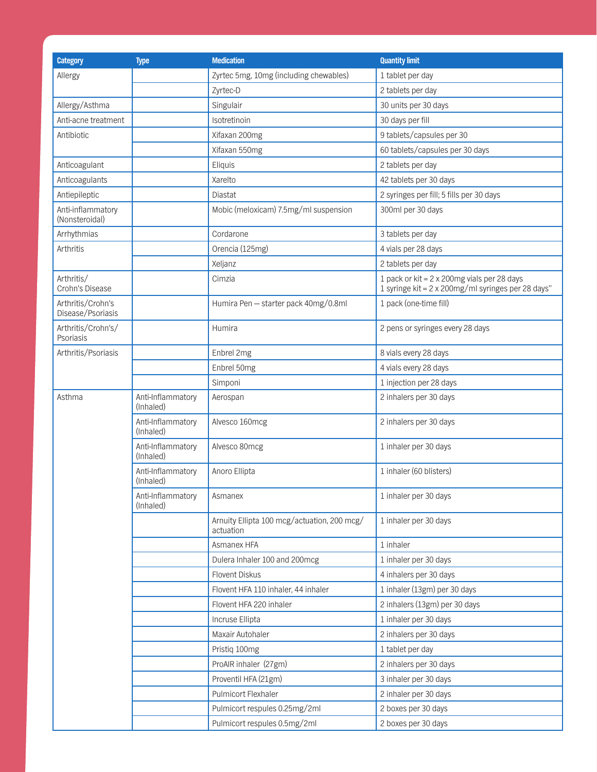| <b>Category</b>                        | <b>Type</b>                    | <b>Medication</b>                                        | <b>Quantity limit</b>                                                                             |
|----------------------------------------|--------------------------------|----------------------------------------------------------|---------------------------------------------------------------------------------------------------|
| Allergy                                |                                | Zyrtec 5mg, 10mg (including chewables)                   | 1 tablet per day                                                                                  |
|                                        |                                | Zyrtec-D                                                 | 2 tablets per day                                                                                 |
| Allergy/Asthma                         |                                | Singulair                                                | 30 units per 30 days                                                                              |
| Anti-acne treatment                    |                                | Isotretinoin                                             | 30 days per fill                                                                                  |
| Antibiotic                             |                                | Xifaxan 200mg                                            | 9 tablets/capsules per 30                                                                         |
|                                        |                                | Xifaxan 550mg                                            | 60 tablets/capsules per 30 days                                                                   |
| Anticoagulant                          |                                | Eliquis                                                  | 2 tablets per day                                                                                 |
| Anticoagulants                         |                                | Xarelto                                                  | 42 tablets per 30 days                                                                            |
| Antiepileptic                          |                                | Diastat                                                  | 2 syringes per fill; 5 fills per 30 days                                                          |
| Anti-inflammatory<br>(Nonsteroidal)    |                                | Mobic (meloxicam) 7.5mg/ml suspension                    | 300ml per 30 days                                                                                 |
| Arrhythmias                            |                                | Cordarone                                                | 3 tablets per day                                                                                 |
| Arthritis                              |                                | Orencia (125mg)                                          | 4 vials per 28 days                                                                               |
|                                        |                                | Xeljanz                                                  | 2 tablets per day                                                                                 |
| Arthritis/<br>Crohn's Disease          |                                | Cimzia                                                   | 1 pack or kit = 2 x 200mg vials per 28 days<br>1 syringe kit = 2 x 200mg/ml syringes per 28 days" |
| Arthritis/Crohn's<br>Disease/Psoriasis |                                | Humira Pen - starter pack 40mg/0.8ml                     | 1 pack (one-time fill)                                                                            |
| Arthritis/Crohn's/<br>Psoriasis        |                                | Humira                                                   | 2 pens or syringes every 28 days                                                                  |
| Arthritis/Psoriasis                    |                                | Enbrel 2mg                                               | 8 vials every 28 days                                                                             |
|                                        |                                | Enbrel 50mg                                              | 4 vials every 28 days                                                                             |
|                                        |                                | Simponi                                                  | 1 injection per 28 days                                                                           |
| Asthma                                 | Anti-Inflammatory<br>(Inhaled) | Aerospan                                                 | 2 inhalers per 30 days                                                                            |
|                                        | Anti-Inflammatory<br>(Inhaled) | Alvesco 160mcg                                           | 2 inhalers per 30 days                                                                            |
|                                        | Anti-Inflammatory<br>(Inhaled) | Alvesco 80mcg                                            | 1 inhaler per 30 days                                                                             |
|                                        | Anti-Inflammatory<br>(Inhaled) | Anoro Ellipta                                            | 1 inhaler (60 blisters)                                                                           |
|                                        | Anti-Inflammatory<br>(Inhaled) | Asmanex                                                  | 1 inhaler per 30 days                                                                             |
|                                        |                                | Arnuity Ellipta 100 mcg/actuation, 200 mcg/<br>actuation | 1 inhaler per 30 days                                                                             |
|                                        |                                | Asmanex HFA                                              | 1 inhaler                                                                                         |
|                                        |                                | Dulera Inhaler 100 and 200mcg                            | 1 inhaler per 30 days                                                                             |
|                                        |                                | <b>Flovent Diskus</b>                                    | 4 inhalers per 30 days                                                                            |
|                                        |                                | Flovent HFA 110 inhaler, 44 inhaler                      | 1 inhaler (13gm) per 30 days                                                                      |
|                                        |                                | Flovent HFA 220 inhaler                                  | 2 inhalers (13gm) per 30 days                                                                     |
|                                        |                                | Incruse Ellipta                                          | 1 inhaler per 30 days                                                                             |
|                                        |                                | Maxair Autohaler                                         | 2 inhalers per 30 days                                                                            |
|                                        |                                | Pristiq 100mg                                            | 1 tablet per day                                                                                  |
|                                        |                                | ProAIR inhaler (27gm)                                    | 2 inhalers per 30 days                                                                            |
|                                        |                                | Proventil HFA (21gm)                                     | 3 inhaler per 30 days                                                                             |
|                                        |                                | Pulmicort Flexhaler                                      | 2 inhaler per 30 days                                                                             |
|                                        |                                | Pulmicort respules 0.25mg/2ml                            | 2 boxes per 30 days                                                                               |
|                                        |                                | Pulmicort respules 0.5mg/2ml                             | 2 boxes per 30 days                                                                               |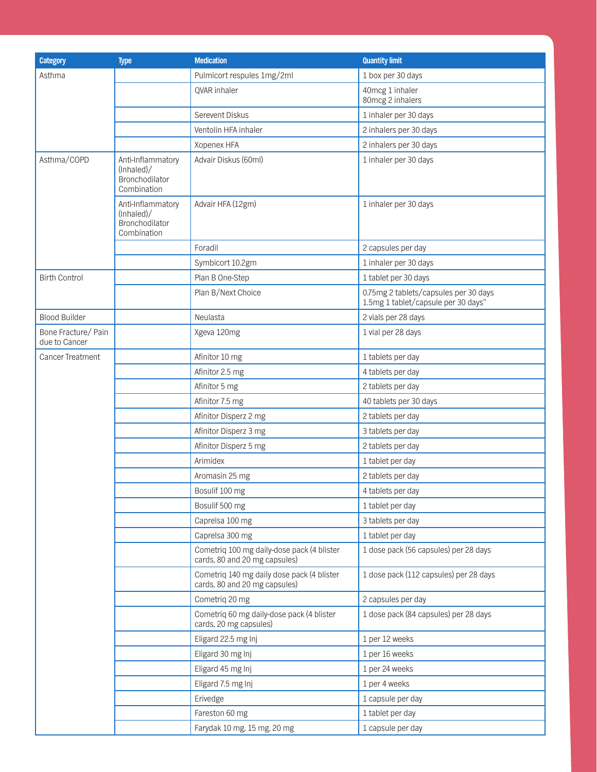| <b>Category</b>                      | <b>Type</b>                                                       | <b>Medication</b>                                                           | <b>Quantity limit</b>                                                        |
|--------------------------------------|-------------------------------------------------------------------|-----------------------------------------------------------------------------|------------------------------------------------------------------------------|
| Asthma                               |                                                                   | Pulmicort respules 1mg/2ml                                                  | 1 box per 30 days                                                            |
|                                      |                                                                   | QVAR inhaler                                                                | 40mcg 1 inhaler<br>80mcg 2 inhalers                                          |
|                                      |                                                                   | Serevent Diskus                                                             | 1 inhaler per 30 days                                                        |
|                                      |                                                                   | Ventolin HFA inhaler                                                        | 2 inhalers per 30 days                                                       |
|                                      |                                                                   | Xopenex HFA                                                                 | 2 inhalers per 30 days                                                       |
| Asthma/COPD                          | Anti-Inflammatory<br>(lnhaled) /<br>Bronchodilator<br>Combination | Advair Diskus (60ml)                                                        | 1 inhaler per 30 days                                                        |
|                                      | Anti-Inflammatory<br>(lnhaled) /<br>Bronchodilator<br>Combination | Advair HFA (12gm)                                                           | 1 inhaler per 30 days                                                        |
|                                      |                                                                   | Foradil                                                                     | 2 capsules per day                                                           |
|                                      |                                                                   | Symbicort 10.2gm                                                            | 1 inhaler per 30 days                                                        |
| <b>Birth Control</b>                 |                                                                   | Plan B One-Step                                                             | 1 tablet per 30 days                                                         |
|                                      |                                                                   | Plan B/Next Choice                                                          | 0.75mg 2 tablets/capsules per 30 days<br>1.5mg 1 tablet/capsule per 30 days" |
| <b>Blood Builder</b>                 |                                                                   | Neulasta                                                                    | 2 vials per 28 days                                                          |
| Bone Fracture/ Pain<br>due to Cancer |                                                                   | Xgeva 120mg                                                                 | 1 vial per 28 days                                                           |
| Cancer Treatment                     |                                                                   | Afinitor 10 mg                                                              | 1 tablets per day                                                            |
|                                      |                                                                   | Afinitor 2.5 mg                                                             | 4 tablets per day                                                            |
|                                      |                                                                   | Afinitor 5 mg                                                               | 2 tablets per day                                                            |
|                                      |                                                                   | Afinitor 7.5 mg                                                             | 40 tablets per 30 days                                                       |
|                                      |                                                                   | Afinitor Disperz 2 mg                                                       | 2 tablets per day                                                            |
|                                      |                                                                   | Afinitor Disperz 3 mg                                                       | 3 tablets per day                                                            |
|                                      |                                                                   | Afinitor Disperz 5 mg                                                       | 2 tablets per day                                                            |
|                                      |                                                                   | Arimidex                                                                    | 1 tablet per day                                                             |
|                                      |                                                                   | Aromasin 25 mg                                                              | 2 tablets per day                                                            |
|                                      |                                                                   | Bosulif 100 mg                                                              | 4 tablets per day                                                            |
|                                      |                                                                   | Bosulif 500 mg                                                              | 1 tablet per day                                                             |
|                                      |                                                                   | Caprelsa 100 mg                                                             | 3 tablets per day                                                            |
|                                      |                                                                   | Caprelsa 300 mg                                                             | 1 tablet per day                                                             |
|                                      |                                                                   | Cometriq 100 mg daily-dose pack (4 blister<br>cards, 80 and 20 mg capsules) | 1 dose pack (56 capsules) per 28 days                                        |
|                                      |                                                                   | Cometriq 140 mg daily dose pack (4 blister<br>cards, 80 and 20 mg capsules) | 1 dose pack (112 capsules) per 28 days                                       |
|                                      |                                                                   | Cometriq 20 mg                                                              | 2 capsules per day                                                           |
|                                      |                                                                   | Cometriq 60 mg daily-dose pack (4 blister<br>cards, 20 mg capsules)         | 1 dose pack (84 capsules) per 28 days                                        |
|                                      |                                                                   | Eligard 22.5 mg Inj                                                         | 1 per 12 weeks                                                               |
|                                      |                                                                   | Eligard 30 mg Inj                                                           | 1 per 16 weeks                                                               |
|                                      |                                                                   | Eligard 45 mg Inj                                                           | 1 per 24 weeks                                                               |
|                                      |                                                                   | Eligard 7.5 mg Inj                                                          | 1 per 4 weeks                                                                |
|                                      |                                                                   | Erivedge                                                                    | 1 capsule per day                                                            |
|                                      |                                                                   | Fareston 60 mg                                                              | 1 tablet per day                                                             |
|                                      |                                                                   | Farydak 10 mg, 15 mg, 20 mg                                                 | 1 capsule per day                                                            |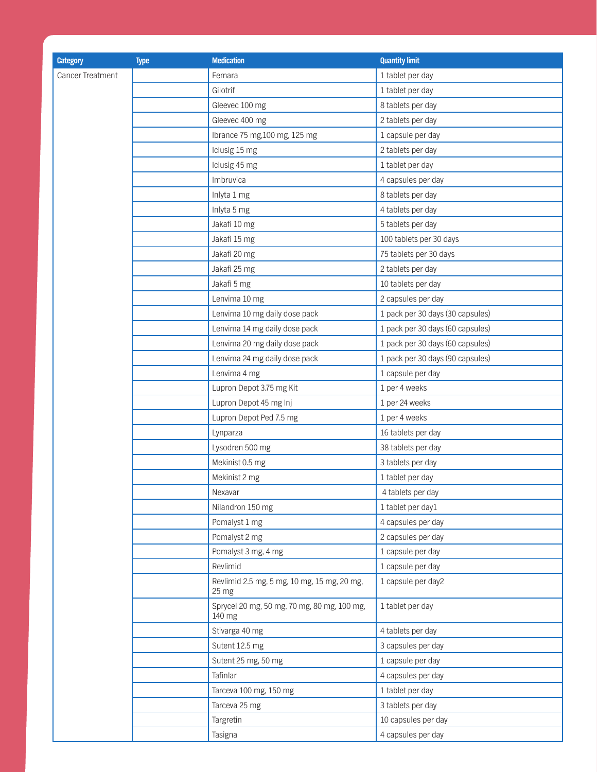| <b>Category</b>  | <b>Type</b> | <b>Medication</b>                                     | <b>Quantity limit</b>            |
|------------------|-------------|-------------------------------------------------------|----------------------------------|
| Cancer Treatment |             | Femara                                                | 1 tablet per day                 |
|                  |             | Gilotrif                                              | 1 tablet per day                 |
|                  |             | Gleevec 100 mg                                        | 8 tablets per day                |
|                  |             | Gleevec 400 mg                                        | 2 tablets per day                |
|                  |             | Ibrance 75 mg, 100 mg, 125 mg                         | 1 capsule per day                |
|                  |             | Iclusig 15 mg                                         | 2 tablets per day                |
|                  |             | Iclusig 45 mg                                         | 1 tablet per day                 |
|                  |             | Imbruvica                                             | 4 capsules per day               |
|                  |             | Inlyta 1 mg                                           | 8 tablets per day                |
|                  |             | Inlyta 5 mg                                           | 4 tablets per day                |
|                  |             | Jakafi 10 mg                                          | 5 tablets per day                |
|                  |             | Jakafi 15 mg                                          | 100 tablets per 30 days          |
|                  |             | Jakafi 20 mg                                          | 75 tablets per 30 days           |
|                  |             | Jakafi 25 mg                                          | 2 tablets per day                |
|                  |             | Jakafi 5 mg                                           | 10 tablets per day               |
|                  |             | Lenvima 10 mg                                         | 2 capsules per day               |
|                  |             | Lenvima 10 mg daily dose pack                         | 1 pack per 30 days (30 capsules) |
|                  |             | Lenvima 14 mg daily dose pack                         | 1 pack per 30 days (60 capsules) |
|                  |             | Lenvima 20 mg daily dose pack                         | 1 pack per 30 days (60 capsules) |
|                  |             | Lenvima 24 mg daily dose pack                         | 1 pack per 30 days (90 capsules) |
|                  |             | Lenvima 4 mg                                          | 1 capsule per day                |
|                  |             | Lupron Depot 3.75 mg Kit                              | 1 per 4 weeks                    |
|                  |             | Lupron Depot 45 mg Inj                                | 1 per 24 weeks                   |
|                  |             | Lupron Depot Ped 7.5 mg                               | 1 per 4 weeks                    |
|                  |             | Lynparza                                              | 16 tablets per day               |
|                  |             | Lysodren 500 mg                                       | 38 tablets per day               |
|                  |             | Mekinist 0.5 mg                                       | 3 tablets per day                |
|                  |             | Mekinist 2 mg                                         | 1 tablet per day                 |
|                  |             | Nexavar                                               | 4 tablets per day                |
|                  |             | Nilandron 150 mg                                      | 1 tablet per day1                |
|                  |             | Pomalyst 1 mg                                         | 4 capsules per day               |
|                  |             | Pomalyst 2 mg                                         | 2 capsules per day               |
|                  |             | Pomalyst 3 mg, 4 mg                                   | 1 capsule per day                |
|                  |             | Revlimid                                              | 1 capsule per day                |
|                  |             | Revlimid 2.5 mg, 5 mg, 10 mg, 15 mg, 20 mg,<br>25 mg  | 1 capsule per day2               |
|                  |             | Sprycel 20 mg, 50 mg, 70 mg, 80 mg, 100 mg,<br>140 mg | 1 tablet per day                 |
|                  |             | Stivarga 40 mg                                        | 4 tablets per day                |
|                  |             | Sutent 12.5 mg                                        | 3 capsules per day               |
|                  |             | Sutent 25 mg, 50 mg                                   | 1 capsule per day                |
|                  |             | Tafinlar                                              | 4 capsules per day               |
|                  |             | Tarceva 100 mg, 150 mg                                | 1 tablet per day                 |
|                  |             | Tarceva 25 mg                                         | 3 tablets per day                |
|                  |             | Targretin                                             | 10 capsules per day              |
|                  |             | Tasigna                                               | 4 capsules per day               |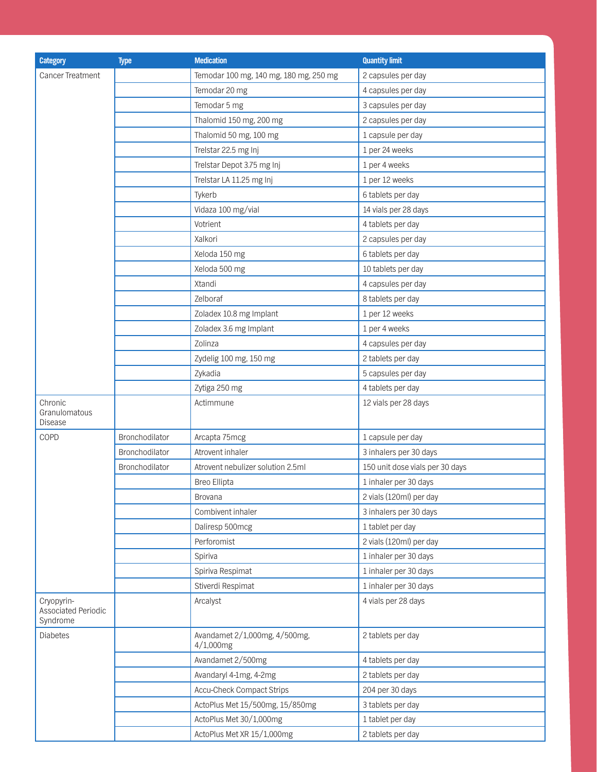| <b>Category</b>                               | <b>Type</b>    | <b>Medication</b>                             | <b>Quantity limit</b>           |
|-----------------------------------------------|----------------|-----------------------------------------------|---------------------------------|
| Cancer Treatment                              |                | Temodar 100 mg, 140 mg, 180 mg, 250 mg        | 2 capsules per day              |
|                                               |                | Temodar 20 mg                                 | 4 capsules per day              |
|                                               |                | Temodar 5 mg                                  | 3 capsules per day              |
|                                               |                | Thalomid 150 mg, 200 mg                       | 2 capsules per day              |
|                                               |                | Thalomid 50 mg, 100 mg                        | 1 capsule per day               |
|                                               |                | Trelstar 22.5 mg Inj                          | 1 per 24 weeks                  |
|                                               |                | Trelstar Depot 3.75 mg Inj                    | 1 per 4 weeks                   |
|                                               |                | Trelstar LA 11.25 mg Inj                      | 1 per 12 weeks                  |
|                                               |                | Tykerb                                        | 6 tablets per day               |
|                                               |                | Vidaza 100 mg/vial                            | 14 vials per 28 days            |
|                                               |                | Votrient                                      | 4 tablets per day               |
|                                               |                | Xalkori                                       | 2 capsules per day              |
|                                               |                | Xeloda 150 mg                                 | 6 tablets per day               |
|                                               |                | Xeloda 500 mg                                 | 10 tablets per day              |
|                                               |                | Xtandi                                        | 4 capsules per day              |
|                                               |                | Zelboraf                                      | 8 tablets per day               |
|                                               |                | Zoladex 10.8 mg Implant                       | 1 per 12 weeks                  |
|                                               |                | Zoladex 3.6 mg Implant                        | 1 per 4 weeks                   |
|                                               |                | Zolinza                                       | 4 capsules per day              |
|                                               |                | Zydelig 100 mg, 150 mg                        | 2 tablets per day               |
|                                               |                | Zykadia                                       | 5 capsules per day              |
|                                               |                | Zytiga 250 mg                                 | 4 tablets per day               |
| Chronic<br>Granulomatous<br>Disease           |                | Actimmune                                     | 12 vials per 28 days            |
| COPD                                          | Bronchodilator | Arcapta 75mcg                                 | 1 capsule per day               |
|                                               | Bronchodilator | Atrovent inhaler                              | 3 inhalers per 30 days          |
|                                               | Bronchodilator | Atrovent nebulizer solution 2.5ml             | 150 unit dose vials per 30 days |
|                                               |                | Breo Ellipta                                  | 1 inhaler per 30 days           |
|                                               |                | <b>Brovana</b>                                | 2 vials (120ml) per day         |
|                                               |                | Combivent inhaler                             | 3 inhalers per 30 days          |
|                                               |                | Daliresp 500mcg                               | 1 tablet per day                |
|                                               |                | Perforomist                                   | 2 vials (120ml) per day         |
|                                               |                | Spiriva                                       | 1 inhaler per 30 days           |
|                                               |                | Spiriva Respimat                              | 1 inhaler per 30 days           |
|                                               |                | Stiverdi Respimat                             | 1 inhaler per 30 days           |
| Cryopyrin-<br>Associated Periodic<br>Syndrome |                | Arcalyst                                      | 4 vials per 28 days             |
| <b>Diabetes</b>                               |                | Avandamet 2/1,000mg, 4/500mg,<br>$4/1,000$ mg | 2 tablets per day               |
|                                               |                | Avandamet 2/500mg                             | 4 tablets per day               |
|                                               |                | Avandaryl 4-1mg, 4-2mg                        | 2 tablets per day               |
|                                               |                | <b>Accu-Check Compact Strips</b>              | 204 per 30 days                 |
|                                               |                | ActoPlus Met 15/500mg, 15/850mg               | 3 tablets per day               |
|                                               |                | ActoPlus Met 30/1,000mg                       | 1 tablet per day                |
|                                               |                | ActoPlus Met XR 15/1,000mg                    | 2 tablets per day               |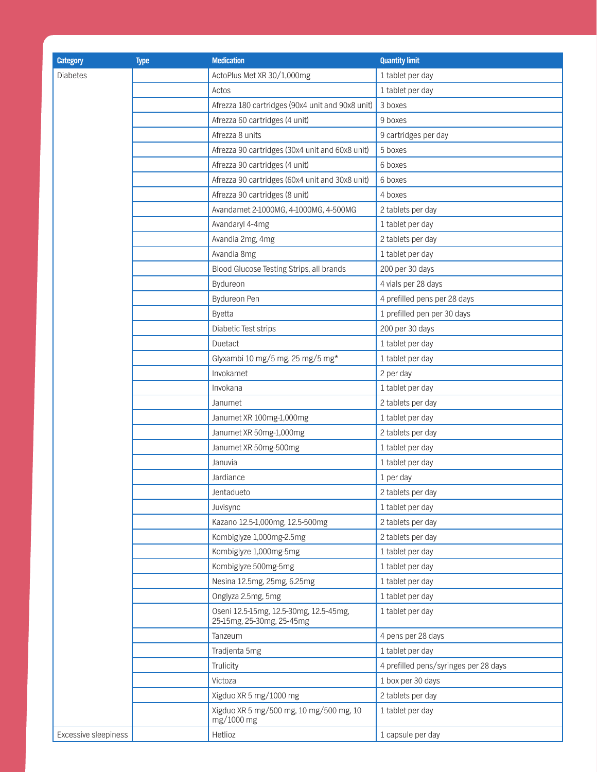| <b>Category</b>      | <b>Type</b> | <b>Medication</b>                                     | <b>Quantity limit</b>                 |
|----------------------|-------------|-------------------------------------------------------|---------------------------------------|
| <b>Diabetes</b>      |             | ActoPlus Met XR 30/1,000mg                            | 1 tablet per day                      |
|                      |             | Actos                                                 | 1 tablet per day                      |
|                      |             | Afrezza 180 cartridges (90x4 unit and 90x8 unit)      | 3 boxes                               |
|                      |             | Afrezza 60 cartridges (4 unit)                        | 9 boxes                               |
|                      |             | Afrezza 8 units                                       | 9 cartridges per day                  |
|                      |             | Afrezza 90 cartridges (30x4 unit and 60x8 unit)       | 5 boxes                               |
|                      |             | Afrezza 90 cartridges (4 unit)                        | 6 boxes                               |
|                      |             | Afrezza 90 cartridges (60x4 unit and 30x8 unit)       | 6 boxes                               |
|                      |             | Afrezza 90 cartridges (8 unit)                        | 4 boxes                               |
|                      |             | Avandamet 2-1000MG, 4-1000MG, 4-500MG                 | 2 tablets per day                     |
|                      |             | Avandaryl 4-4mg                                       | 1 tablet per day                      |
|                      |             | Avandia 2mg, 4mg                                      | 2 tablets per day                     |
|                      |             | Avandia 8mg                                           | 1 tablet per day                      |
|                      |             | Blood Glucose Testing Strips, all brands              | 200 per 30 days                       |
|                      |             | Bydureon                                              | 4 vials per 28 days                   |
|                      |             | Bydureon Pen                                          | 4 prefilled pens per 28 days          |
|                      |             | Byetta                                                | 1 prefilled pen per 30 days           |
|                      |             | Diabetic Test strips                                  | 200 per 30 days                       |
|                      |             | Duetact                                               | 1 tablet per day                      |
|                      |             | Glyxambi 10 mg/5 mg, 25 mg/5 mg*                      | 1 tablet per day                      |
|                      |             | Invokamet                                             | 2 per day                             |
|                      |             | Invokana                                              | 1 tablet per day                      |
|                      |             | Janumet                                               | 2 tablets per day                     |
|                      |             | Janumet XR 100mg-1,000mg                              | 1 tablet per day                      |
|                      |             | Janumet XR 50mg-1,000mg                               | 2 tablets per day                     |
|                      |             | Janumet XR 50mg-500mg                                 | 1 tablet per day                      |
|                      |             | Januvia                                               | 1 tablet per day                      |
|                      |             | Jardiance                                             | 1 per day                             |
|                      |             | Jentadueto                                            | 2 tablets per day                     |
|                      |             | Juvisync                                              | 1 tablet per day                      |
|                      |             | Kazano 12.5-1,000mg, 12.5-500mg                       | 2 tablets per day                     |
|                      |             | Kombiglyze 1,000mg-2.5mg                              | 2 tablets per day                     |
|                      |             | Kombiglyze 1,000mg-5mg                                | 1 tablet per day                      |
|                      |             | Kombiglyze 500mg-5mg                                  | 1 tablet per day                      |
|                      |             | Nesina 12.5mg, 25mg, 6.25mg                           | 1 tablet per day                      |
|                      |             | Onglyza 2.5mg, 5mg                                    | 1 tablet per day                      |
|                      |             | Oseni 12.5-15mg, 12.5-30mg, 12.5-45mg,                | 1 tablet per day                      |
|                      |             | 25-15mg, 25-30mg, 25-45mg                             |                                       |
|                      |             | Tanzeum                                               | 4 pens per 28 days                    |
|                      |             | Tradjenta 5mg                                         | 1 tablet per day                      |
|                      |             | Trulicity                                             | 4 prefilled pens/syringes per 28 days |
|                      |             | Victoza                                               | 1 box per 30 days                     |
|                      |             | Xigduo XR 5 mg/1000 mg                                | 2 tablets per day                     |
|                      |             | Xigduo XR 5 mg/500 mg, 10 mg/500 mg, 10<br>mg/1000 mg | 1 tablet per day                      |
| Excessive sleepiness |             | Hetlioz                                               | 1 capsule per day                     |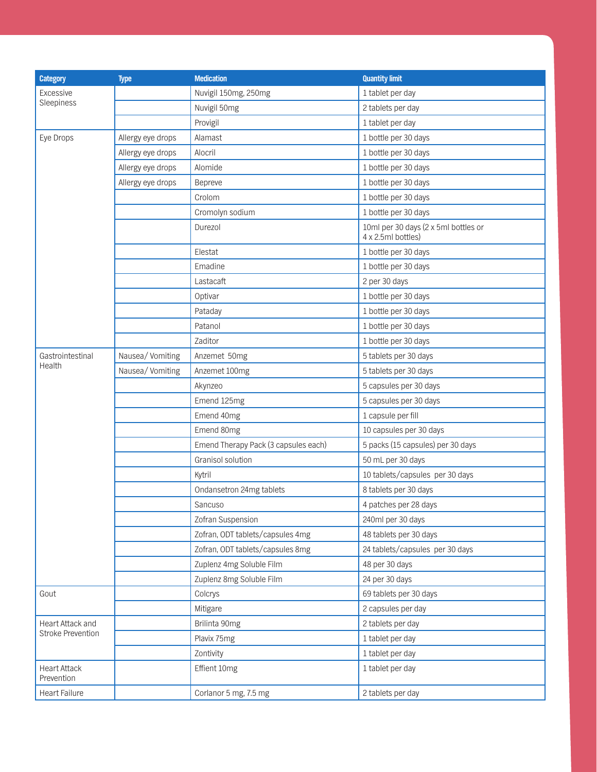| <b>Category</b>                   | <b>Type</b>       | <b>Medication</b>                    | <b>Quantity limit</b>                                      |
|-----------------------------------|-------------------|--------------------------------------|------------------------------------------------------------|
| Excessive                         |                   | Nuvigil 150mg, 250mg                 | 1 tablet per day                                           |
| Sleepiness                        |                   | Nuvigil 50mg                         | 2 tablets per day                                          |
|                                   |                   | Provigil                             | 1 tablet per day                                           |
| Eye Drops                         | Allergy eye drops | Alamast                              | 1 bottle per 30 days                                       |
|                                   | Allergy eye drops | Alocril                              | 1 bottle per 30 days                                       |
|                                   | Allergy eye drops | Alomide                              | 1 bottle per 30 days                                       |
|                                   | Allergy eye drops | Bepreve                              | 1 bottle per 30 days                                       |
|                                   |                   | Crolom                               | 1 bottle per 30 days                                       |
|                                   |                   | Cromolyn sodium                      | 1 bottle per 30 days                                       |
|                                   |                   | Durezol                              | 10ml per 30 days (2 x 5ml bottles or<br>4 x 2.5ml bottles) |
|                                   |                   | Elestat                              | 1 bottle per 30 days                                       |
|                                   |                   | Emadine                              | 1 bottle per 30 days                                       |
|                                   |                   | Lastacaft                            | 2 per 30 days                                              |
|                                   |                   | Optivar                              | 1 bottle per 30 days                                       |
|                                   |                   | Pataday                              | 1 bottle per 30 days                                       |
|                                   |                   | Patanol                              | 1 bottle per 30 days                                       |
|                                   |                   | Zaditor                              | 1 bottle per 30 days                                       |
| Gastrointestinal                  | Nausea/Vomiting   | Anzemet 50mg                         | 5 tablets per 30 days                                      |
| Health                            | Nausea/Vomiting   | Anzemet 100mg                        | 5 tablets per 30 days                                      |
|                                   |                   | Akynzeo                              | 5 capsules per 30 days                                     |
|                                   |                   | Emend 125mg                          | 5 capsules per 30 days                                     |
|                                   |                   | Emend 40mg                           | 1 capsule per fill                                         |
|                                   |                   | Emend 80mg                           | 10 capsules per 30 days                                    |
|                                   |                   | Emend Therapy Pack (3 capsules each) | 5 packs (15 capsules) per 30 days                          |
|                                   |                   | Granisol solution                    | 50 mL per 30 days                                          |
|                                   |                   | Kytril                               | 10 tablets/capsules per 30 days                            |
|                                   |                   | Ondansetron 24mg tablets             | 8 tablets per 30 days                                      |
|                                   |                   | Sancuso                              | 4 patches per 28 days                                      |
|                                   |                   | Zofran Suspension                    | 240ml per 30 days                                          |
|                                   |                   | Zofran, ODT tablets/capsules 4mg     | 48 tablets per 30 days                                     |
|                                   |                   | Zofran, ODT tablets/capsules 8mg     | 24 tablets/capsules per 30 days                            |
|                                   |                   | Zuplenz 4mg Soluble Film             | 48 per 30 days                                             |
|                                   |                   | Zuplenz 8mg Soluble Film             | 24 per 30 days                                             |
| Gout                              |                   | Colcrys                              | 69 tablets per 30 days                                     |
|                                   |                   | Mitigare                             | 2 capsules per day                                         |
| Heart Attack and                  |                   | Brilinta 90mg                        | 2 tablets per day                                          |
| <b>Stroke Prevention</b>          |                   | Plavix 75mg                          | 1 tablet per day                                           |
|                                   |                   | Zontivity                            | 1 tablet per day                                           |
| <b>Heart Attack</b><br>Prevention |                   | Effient 10mg                         | 1 tablet per day                                           |
| Heart Failure                     |                   | Corlanor 5 mg, 7.5 mg                | 2 tablets per day                                          |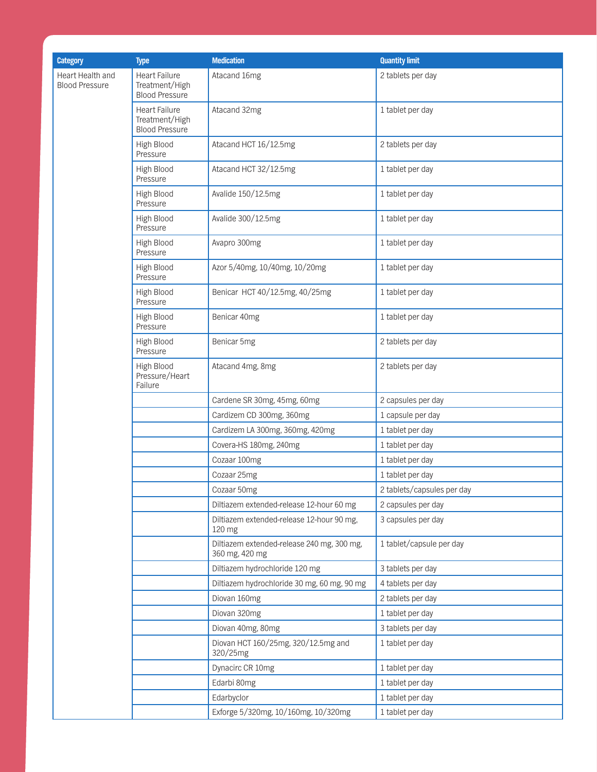| <b>Category</b>                           | <b>Type</b>                                                     | <b>Medication</b>                                            | <b>Quantity limit</b>      |
|-------------------------------------------|-----------------------------------------------------------------|--------------------------------------------------------------|----------------------------|
| Heart Health and<br><b>Blood Pressure</b> | <b>Heart Failure</b><br>Treatment/High<br><b>Blood Pressure</b> | Atacand 16mg                                                 | 2 tablets per day          |
|                                           | <b>Heart Failure</b><br>Treatment/High<br><b>Blood Pressure</b> | Atacand 32mg                                                 | 1 tablet per day           |
|                                           | High Blood<br>Pressure                                          | Atacand HCT 16/12.5mg                                        | 2 tablets per day          |
|                                           | High Blood<br>Pressure                                          | Atacand HCT 32/12.5mg                                        | 1 tablet per day           |
|                                           | High Blood<br>Pressure                                          | Avalide 150/12.5mg                                           | 1 tablet per day           |
|                                           | High Blood<br>Pressure                                          | Avalide 300/12.5mg                                           | 1 tablet per day           |
|                                           | High Blood<br>Pressure                                          | Avapro 300mg                                                 | 1 tablet per day           |
|                                           | High Blood<br>Pressure                                          | Azor 5/40mg, 10/40mg, 10/20mg                                | 1 tablet per day           |
|                                           | High Blood<br>Pressure                                          | Benicar HCT 40/12.5mg, 40/25mg                               | 1 tablet per day           |
|                                           | High Blood<br>Pressure                                          | Benicar 40mg                                                 | 1 tablet per day           |
|                                           | High Blood<br>Pressure                                          | Benicar 5mg                                                  | 2 tablets per day          |
|                                           | High Blood<br>Pressure/Heart<br>Failure                         | Atacand 4mg, 8mg                                             | 2 tablets per day          |
|                                           |                                                                 | Cardene SR 30mg, 45mg, 60mg                                  | 2 capsules per day         |
|                                           |                                                                 | Cardizem CD 300mg, 360mg                                     | 1 capsule per day          |
|                                           |                                                                 | Cardizem LA 300mg, 360mg, 420mg                              | 1 tablet per day           |
|                                           |                                                                 | Covera-HS 180mg, 240mg                                       | 1 tablet per day           |
|                                           |                                                                 | Cozaar 100mg                                                 | 1 tablet per day           |
|                                           |                                                                 | Cozaar 25mg                                                  | 1 tablet per day           |
|                                           |                                                                 | Cozaar 50mg                                                  | 2 tablets/capsules per day |
|                                           |                                                                 | Diltiazem extended-release 12-hour 60 mg                     | 2 capsules per day         |
|                                           |                                                                 | Diltiazem extended-release 12-hour 90 mg,<br>120 mg          | 3 capsules per day         |
|                                           |                                                                 | Diltiazem extended-release 240 mg, 300 mg,<br>360 mg, 420 mg | 1 tablet/capsule per day   |
|                                           |                                                                 | Diltiazem hydrochloride 120 mg                               | 3 tablets per day          |
|                                           |                                                                 | Diltiazem hydrochloride 30 mg, 60 mg, 90 mg                  | 4 tablets per day          |
|                                           |                                                                 | Diovan 160mg                                                 | 2 tablets per day          |
|                                           |                                                                 | Diovan 320mg                                                 | 1 tablet per day           |
|                                           |                                                                 | Diovan 40mg, 80mg                                            | 3 tablets per day          |
|                                           |                                                                 | Diovan HCT 160/25mg, 320/12.5mg and<br>320/25mg              | 1 tablet per day           |
|                                           |                                                                 | Dynacirc CR 10mg                                             | 1 tablet per day           |
|                                           |                                                                 | Edarbi 80mg                                                  | 1 tablet per day           |
|                                           |                                                                 | Edarbyclor                                                   | 1 tablet per day           |
|                                           |                                                                 | Exforge 5/320mg, 10/160mg, 10/320mg                          | 1 tablet per day           |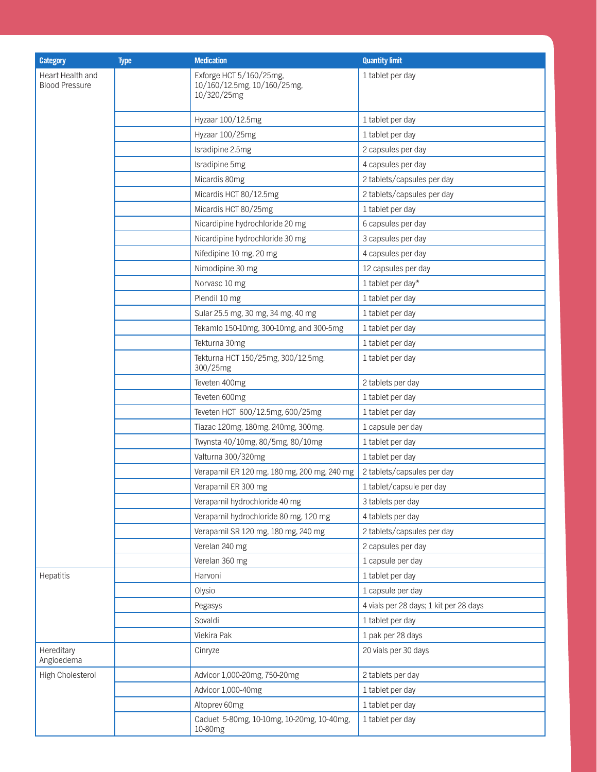| <b>Category</b>                           | <b>Type</b> | <b>Medication</b>                                                     | <b>Quantity limit</b>                  |
|-------------------------------------------|-------------|-----------------------------------------------------------------------|----------------------------------------|
| Heart Health and<br><b>Blood Pressure</b> |             | Exforge HCT 5/160/25mg,<br>10/160/12.5mg, 10/160/25mg,<br>10/320/25mg | 1 tablet per day                       |
|                                           |             | Hyzaar 100/12.5mg                                                     | 1 tablet per day                       |
|                                           |             | Hyzaar 100/25mg                                                       | 1 tablet per day                       |
|                                           |             | Isradipine 2.5mg                                                      | 2 capsules per day                     |
|                                           |             | Isradipine 5mg                                                        | 4 capsules per day                     |
|                                           |             | Micardis 80mg                                                         | 2 tablets/capsules per day             |
|                                           |             | Micardis HCT 80/12.5mg                                                | 2 tablets/capsules per day             |
|                                           |             | Micardis HCT 80/25mg                                                  | 1 tablet per day                       |
|                                           |             | Nicardipine hydrochloride 20 mg                                       | 6 capsules per day                     |
|                                           |             | Nicardipine hydrochloride 30 mg                                       | 3 capsules per day                     |
|                                           |             | Nifedipine 10 mg, 20 mg                                               | 4 capsules per day                     |
|                                           |             | Nimodipine 30 mg                                                      | 12 capsules per day                    |
|                                           |             | Norvasc 10 mg                                                         | 1 tablet per day*                      |
|                                           |             | Plendil 10 mg                                                         | 1 tablet per day                       |
|                                           |             | Sular 25.5 mg, 30 mg, 34 mg, 40 mg                                    | 1 tablet per day                       |
|                                           |             | Tekamlo 150-10mg, 300-10mg, and 300-5mg                               | 1 tablet per day                       |
|                                           |             | Tekturna 30mg                                                         | 1 tablet per day                       |
|                                           |             | Tekturna HCT 150/25mg, 300/12.5mg,<br>300/25mg                        | 1 tablet per day                       |
|                                           |             | Teveten 400mg                                                         | 2 tablets per day                      |
|                                           |             | Teveten 600mg                                                         | 1 tablet per day                       |
|                                           |             | Teveten HCT 600/12.5mg, 600/25mg                                      | 1 tablet per day                       |
|                                           |             | Tiazac 120mg, 180mg, 240mg, 300mg,                                    | 1 capsule per day                      |
|                                           |             | Twynsta 40/10mg, 80/5mg, 80/10mg                                      | 1 tablet per day                       |
|                                           |             | Valturna 300/320mg                                                    | 1 tablet per day                       |
|                                           |             | Verapamil ER 120 mg, 180 mg, 200 mg, 240 mg                           | 2 tablets/capsules per day             |
|                                           |             | Verapamil ER 300 mg                                                   | 1 tablet/capsule per day               |
|                                           |             | Verapamil hydrochloride 40 mg                                         | 3 tablets per day                      |
|                                           |             | Verapamil hydrochloride 80 mg, 120 mg                                 | 4 tablets per day                      |
|                                           |             | Verapamil SR 120 mg, 180 mg, 240 mg                                   | 2 tablets/capsules per day             |
|                                           |             | Verelan 240 mg                                                        | 2 capsules per day                     |
|                                           |             | Verelan 360 mg                                                        | 1 capsule per day                      |
| Hepatitis                                 |             | Harvoni                                                               | 1 tablet per day                       |
|                                           |             | Olysio                                                                | 1 capsule per day                      |
|                                           |             | Pegasys                                                               | 4 vials per 28 days; 1 kit per 28 days |
|                                           |             | Sovaldi                                                               | 1 tablet per day                       |
|                                           |             | Viekira Pak                                                           | 1 pak per 28 days                      |
| Hereditary<br>Angioedema                  |             | Cinryze                                                               | 20 vials per 30 days                   |
| High Cholesterol                          |             | Advicor 1,000-20mg, 750-20mg                                          | 2 tablets per day                      |
|                                           |             | Advicor 1,000-40mg                                                    | 1 tablet per day                       |
|                                           |             | Altoprev 60mg                                                         | 1 tablet per day                       |
|                                           |             | Caduet 5-80mg, 10-10mg, 10-20mg, 10-40mg,<br>10-80mg                  | 1 tablet per day                       |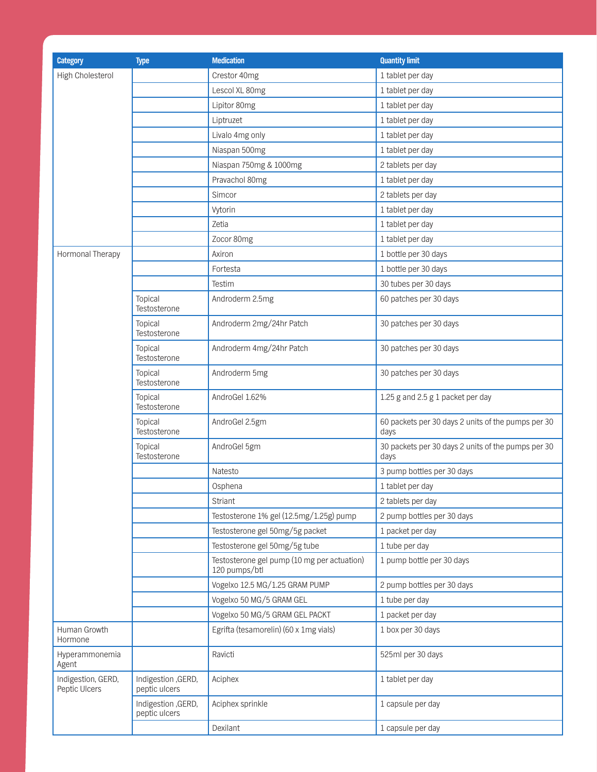| <b>Category</b>                     | <b>Type</b>                          | <b>Medication</b>                                            | <b>Quantity limit</b>                                      |
|-------------------------------------|--------------------------------------|--------------------------------------------------------------|------------------------------------------------------------|
| High Cholesterol                    |                                      | Crestor 40mg                                                 | 1 tablet per day                                           |
|                                     |                                      | Lescol XL 80mg                                               | 1 tablet per day                                           |
|                                     |                                      | Lipitor 80mg                                                 | 1 tablet per day                                           |
|                                     |                                      | Liptruzet                                                    | 1 tablet per day                                           |
|                                     |                                      | Livalo 4mg only                                              | 1 tablet per day                                           |
|                                     |                                      | Niaspan 500mg                                                | 1 tablet per day                                           |
|                                     |                                      | Niaspan 750mg & 1000mg                                       | 2 tablets per day                                          |
|                                     |                                      | Pravachol 80mg                                               | 1 tablet per day                                           |
|                                     |                                      | Simcor                                                       | 2 tablets per day                                          |
|                                     |                                      | Vytorin                                                      | 1 tablet per day                                           |
|                                     |                                      | Zetia                                                        | 1 tablet per day                                           |
|                                     |                                      | Zocor 80mg                                                   | 1 tablet per day                                           |
| Hormonal Therapy                    |                                      | Axiron                                                       | 1 bottle per 30 days                                       |
|                                     |                                      | Fortesta                                                     | 1 bottle per 30 days                                       |
|                                     |                                      | Testim                                                       | 30 tubes per 30 days                                       |
|                                     | Topical<br>Testosterone              | Androderm 2.5mg                                              | 60 patches per 30 days                                     |
|                                     | Topical<br>Testosterone              | Androderm 2mg/24hr Patch                                     | 30 patches per 30 days                                     |
|                                     | Topical<br>Testosterone              | Androderm 4mg/24hr Patch                                     | 30 patches per 30 days                                     |
|                                     | Topical<br>Testosterone              | Androderm 5mg                                                | 30 patches per 30 days                                     |
|                                     | Topical<br>Testosterone              | AndroGel 1.62%                                               | 1.25 g and 2.5 g 1 packet per day                          |
|                                     | Topical<br>Testosterone              | AndroGel 2.5gm                                               | 60 packets per 30 days 2 units of the pumps per 30<br>days |
|                                     | Topical<br>Testosterone              | AndroGel 5gm                                                 | 30 packets per 30 days 2 units of the pumps per 30<br>days |
|                                     |                                      | Natesto                                                      | 3 pump bottles per 30 days                                 |
|                                     |                                      | Osphena                                                      | 1 tablet per day                                           |
|                                     |                                      | Striant                                                      | 2 tablets per day                                          |
|                                     |                                      | Testosterone 1% gel (12.5mg/1.25g) pump                      | 2 pump bottles per 30 days                                 |
|                                     |                                      | Testosterone gel 50mg/5g packet                              | 1 packet per day                                           |
|                                     |                                      | Testosterone gel 50mg/5g tube                                | 1 tube per day                                             |
|                                     |                                      | Testosterone gel pump (10 mg per actuation)<br>120 pumps/btl | 1 pump bottle per 30 days                                  |
|                                     |                                      | Vogelxo 12.5 MG/1.25 GRAM PUMP                               | 2 pump bottles per 30 days                                 |
|                                     |                                      | Vogelxo 50 MG/5 GRAM GEL                                     | 1 tube per day                                             |
|                                     |                                      | Vogelxo 50 MG/5 GRAM GEL PACKT                               | 1 packet per day                                           |
| Human Growth<br>Hormone             |                                      | Egrifta (tesamorelin) (60 x 1mg vials)                       | 1 box per 30 days                                          |
| Hyperammonemia<br>Agent             |                                      | Ravicti                                                      | 525ml per 30 days                                          |
| Indigestion, GERD,<br>Peptic Ulcers | Indigestion , GERD,<br>peptic ulcers | Aciphex                                                      | 1 tablet per day                                           |
|                                     | Indigestion , GERD,<br>peptic ulcers | Aciphex sprinkle                                             | 1 capsule per day                                          |
|                                     |                                      | Dexilant                                                     | 1 capsule per day                                          |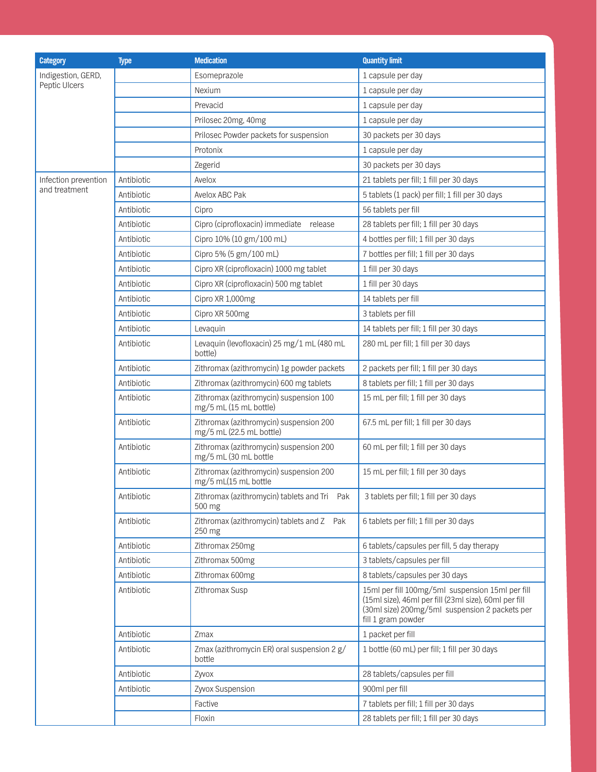| <b>Category</b>      | <b>Type</b> | <b>Medication</b>                                                   | <b>Quantity limit</b>                                                                                                                                                             |
|----------------------|-------------|---------------------------------------------------------------------|-----------------------------------------------------------------------------------------------------------------------------------------------------------------------------------|
| Indigestion, GERD,   |             | Esomeprazole                                                        | 1 capsule per day                                                                                                                                                                 |
| Peptic Ulcers        |             | Nexium                                                              | 1 capsule per day                                                                                                                                                                 |
|                      |             | Prevacid                                                            | 1 capsule per day                                                                                                                                                                 |
|                      |             | Prilosec 20mg, 40mg                                                 | 1 capsule per day                                                                                                                                                                 |
|                      |             | Prilosec Powder packets for suspension                              | 30 packets per 30 days                                                                                                                                                            |
|                      |             | Protonix                                                            | 1 capsule per day                                                                                                                                                                 |
|                      |             | Zegerid                                                             | 30 packets per 30 days                                                                                                                                                            |
| Infection prevention | Antibiotic  | Avelox                                                              | 21 tablets per fill; 1 fill per 30 days                                                                                                                                           |
| and treatment        | Antibiotic  | Avelox ABC Pak                                                      | 5 tablets (1 pack) per fill; 1 fill per 30 days                                                                                                                                   |
|                      | Antibiotic  | Cipro                                                               | 56 tablets per fill                                                                                                                                                               |
|                      | Antibiotic  | Cipro (ciprofloxacin) immediate<br>release                          | 28 tablets per fill; 1 fill per 30 days                                                                                                                                           |
|                      | Antibiotic  | Cipro 10% (10 gm/100 mL)                                            | 4 bottles per fill; 1 fill per 30 days                                                                                                                                            |
|                      | Antibiotic  | Cipro 5% (5 gm/100 mL)                                              | 7 bottles per fill; 1 fill per 30 days                                                                                                                                            |
|                      | Antibiotic  | Cipro XR (ciprofloxacin) 1000 mg tablet                             | 1 fill per 30 days                                                                                                                                                                |
|                      | Antibiotic  | Cipro XR (ciprofloxacin) 500 mg tablet                              | 1 fill per 30 days                                                                                                                                                                |
|                      | Antibiotic  | Cipro XR 1,000mg                                                    | 14 tablets per fill                                                                                                                                                               |
|                      | Antibiotic  | Cipro XR 500mg                                                      | 3 tablets per fill                                                                                                                                                                |
|                      | Antibiotic  | Levaquin                                                            | 14 tablets per fill; 1 fill per 30 days                                                                                                                                           |
|                      | Antibiotic  | Levaquin (levofloxacin) 25 mg/1 mL (480 mL<br>bottle)               | 280 mL per fill; 1 fill per 30 days                                                                                                                                               |
|                      | Antibiotic  | Zithromax (azithromycin) 1g powder packets                          | 2 packets per fill; 1 fill per 30 days                                                                                                                                            |
|                      | Antibiotic  | Zithromax (azithromycin) 600 mg tablets                             | 8 tablets per fill; 1 fill per 30 days                                                                                                                                            |
|                      | Antibiotic  | Zithromax (azithromycin) suspension 100<br>mg/5 mL (15 mL bottle)   | 15 mL per fill; 1 fill per 30 days                                                                                                                                                |
|                      | Antibiotic  | Zithromax (azithromycin) suspension 200<br>mg/5 mL (22.5 mL bottle) | 67.5 mL per fill; 1 fill per 30 days                                                                                                                                              |
|                      | Antibiotic  | Zithromax (azithromycin) suspension 200<br>mg/5 mL (30 mL bottle    | 60 mL per fill; 1 fill per 30 days                                                                                                                                                |
|                      | Antibiotic  | Zithromax (azithromycin) suspension 200<br>mg/5 mL(15 mL bottle     | 15 mL per fill; 1 fill per 30 days                                                                                                                                                |
|                      | Antibiotic  | Zithromax (azithromycin) tablets and Tri Pak<br>500 mg              | 3 tablets per fill; 1 fill per 30 days                                                                                                                                            |
|                      | Antibiotic  | Zithromax (azithromycin) tablets and Z Pak<br>250 mg                | 6 tablets per fill; 1 fill per 30 days                                                                                                                                            |
|                      | Antibiotic  | Zithromax 250mg                                                     | 6 tablets/capsules per fill, 5 day therapy                                                                                                                                        |
|                      | Antibiotic  | Zithromax 500mg                                                     | 3 tablets/capsules per fill                                                                                                                                                       |
|                      | Antibiotic  | Zithromax 600mg                                                     | 8 tablets/capsules per 30 days                                                                                                                                                    |
|                      | Antibiotic  | Zithromax Susp                                                      | 15ml per fill 100mg/5ml suspension 15ml per fill<br>(15ml size), 46ml per fill (23ml size), 60ml per fill<br>(30ml size) 200mg/5ml suspension 2 packets per<br>fill 1 gram powder |
|                      | Antibiotic  | Zmax                                                                | 1 packet per fill                                                                                                                                                                 |
|                      | Antibiotic  | Zmax (azithromycin ER) oral suspension 2 g/<br>bottle               | 1 bottle (60 mL) per fill; 1 fill per 30 days                                                                                                                                     |
|                      | Antibiotic  | Zyvox                                                               | 28 tablets/capsules per fill                                                                                                                                                      |
|                      | Antibiotic  | Zyvox Suspension                                                    | 900ml per fill                                                                                                                                                                    |
|                      |             | Factive                                                             | 7 tablets per fill; 1 fill per 30 days                                                                                                                                            |
|                      |             | Floxin                                                              | 28 tablets per fill; 1 fill per 30 days                                                                                                                                           |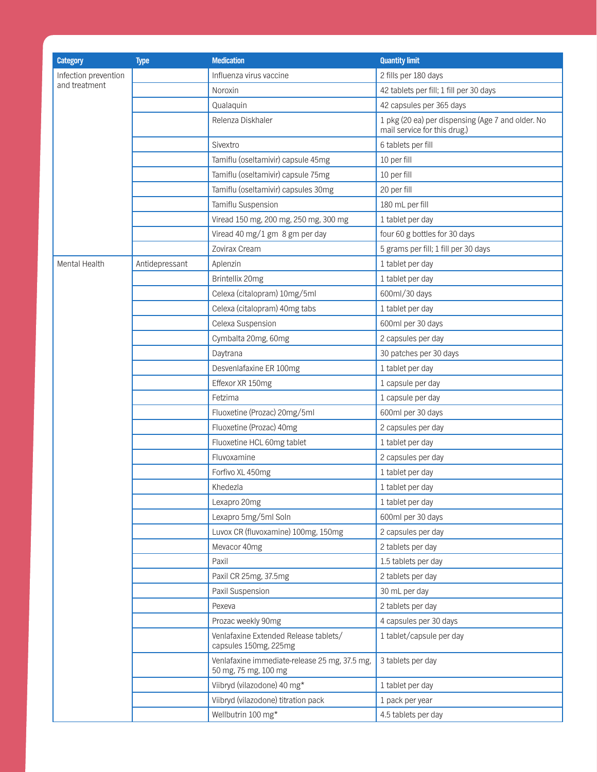| <b>Category</b>      | <b>Type</b>    | <b>Medication</b>                                                     | <b>Quantity limit</b>                                                             |
|----------------------|----------------|-----------------------------------------------------------------------|-----------------------------------------------------------------------------------|
| Infection prevention |                | Influenza virus vaccine                                               | 2 fills per 180 days                                                              |
| and treatment        |                | Noroxin                                                               | 42 tablets per fill; 1 fill per 30 days                                           |
|                      |                | Qualaquin                                                             | 42 capsules per 365 days                                                          |
|                      |                | Relenza Diskhaler                                                     | 1 pkg (20 ea) per dispensing (Age 7 and older. No<br>mail service for this drug.) |
|                      |                | Sivextro                                                              | 6 tablets per fill                                                                |
|                      |                | Tamiflu (oseltamivir) capsule 45mg                                    | 10 per fill                                                                       |
|                      |                | Tamiflu (oseltamivir) capsule 75mg                                    | 10 per fill                                                                       |
|                      |                | Tamiflu (oseltamivir) capsules 30mg                                   | 20 per fill                                                                       |
|                      |                | Tamiflu Suspension                                                    | 180 mL per fill                                                                   |
|                      |                | Viread 150 mg, 200 mg, 250 mg, 300 mg                                 | 1 tablet per day                                                                  |
|                      |                | Viread 40 mg/1 gm 8 gm per day                                        | four 60 g bottles for 30 days                                                     |
|                      |                | Zovirax Cream                                                         | 5 grams per fill; 1 fill per 30 days                                              |
| Mental Health        | Antidepressant | Aplenzin                                                              | 1 tablet per day                                                                  |
|                      |                | Brintellix 20mg                                                       | 1 tablet per day                                                                  |
|                      |                | Celexa (citalopram) 10mg/5ml                                          | 600ml/30 days                                                                     |
|                      |                | Celexa (citalopram) 40mg tabs                                         | 1 tablet per day                                                                  |
|                      |                | Celexa Suspension                                                     | 600ml per 30 days                                                                 |
|                      |                | Cymbalta 20mg, 60mg                                                   | 2 capsules per day                                                                |
|                      |                | Daytrana                                                              | 30 patches per 30 days                                                            |
|                      |                | Desvenlafaxine ER 100mg                                               | 1 tablet per day                                                                  |
|                      |                | Effexor XR 150mg                                                      | 1 capsule per day                                                                 |
|                      |                | Fetzima                                                               | 1 capsule per day                                                                 |
|                      |                | Fluoxetine (Prozac) 20mg/5ml                                          | 600ml per 30 days                                                                 |
|                      |                | Fluoxetine (Prozac) 40mg                                              | 2 capsules per day                                                                |
|                      |                | Fluoxetine HCL 60mg tablet                                            | 1 tablet per day                                                                  |
|                      |                | Fluvoxamine                                                           | 2 capsules per day                                                                |
|                      |                | Forfivo XL 450mg                                                      | 1 tablet per day                                                                  |
|                      |                | Khedezla                                                              | 1 tablet per day                                                                  |
|                      |                | Lexapro 20mg                                                          | 1 tablet per day                                                                  |
|                      |                | Lexapro 5mg/5ml Soln                                                  | 600ml per 30 days                                                                 |
|                      |                | Luvox CR (fluvoxamine) 100mg, 150mg                                   | 2 capsules per day                                                                |
|                      |                | Mevacor 40mg                                                          | 2 tablets per day                                                                 |
|                      |                | Paxil                                                                 | 1.5 tablets per day                                                               |
|                      |                | Paxil CR 25mg, 37.5mg                                                 | 2 tablets per day                                                                 |
|                      |                | Paxil Suspension                                                      | 30 mL per day                                                                     |
|                      |                | Pexeva                                                                | 2 tablets per day                                                                 |
|                      |                | Prozac weekly 90mg                                                    | 4 capsules per 30 days                                                            |
|                      |                | Venlafaxine Extended Release tablets/<br>capsules 150mg, 225mg        | 1 tablet/capsule per day                                                          |
|                      |                | Venlafaxine immediate-release 25 mg, 37.5 mg,<br>50 mg, 75 mg, 100 mg | 3 tablets per day                                                                 |
|                      |                | Viibryd (vilazodone) 40 mg*                                           | 1 tablet per day                                                                  |
|                      |                | Viibryd (vilazodone) titration pack                                   | 1 pack per year                                                                   |
|                      |                | Wellbutrin 100 mg*                                                    | 4.5 tablets per day                                                               |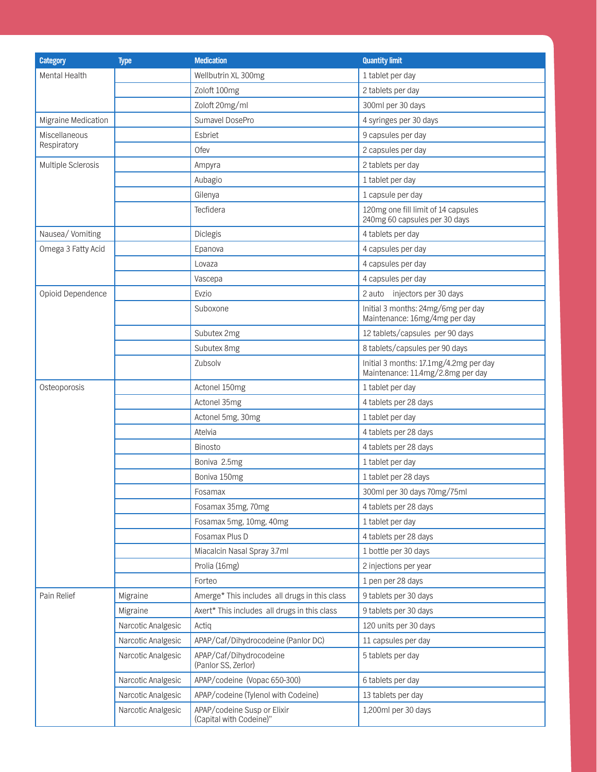| <b>Category</b>      | <b>Type</b>        | <b>Medication</b>                                      | <b>Quantity limit</b>                                                       |
|----------------------|--------------------|--------------------------------------------------------|-----------------------------------------------------------------------------|
| <b>Mental Health</b> |                    | Wellbutrin XL 300mg                                    | 1 tablet per day                                                            |
|                      |                    | Zoloft 100mg                                           | 2 tablets per day                                                           |
|                      |                    | Zoloft 20mg/ml                                         | 300ml per 30 days                                                           |
| Migraine Medication  |                    | Sumavel DosePro                                        | 4 syringes per 30 days                                                      |
| Miscellaneous        |                    | Esbriet                                                | 9 capsules per day                                                          |
| Respiratory          |                    | Ofev                                                   | 2 capsules per day                                                          |
| Multiple Sclerosis   |                    | Ampyra                                                 | 2 tablets per day                                                           |
|                      |                    | Aubagio                                                | 1 tablet per day                                                            |
|                      |                    | Gilenya                                                | 1 capsule per day                                                           |
|                      |                    | Tecfidera                                              | 120mg one fill limit of 14 capsules<br>240mg 60 capsules per 30 days        |
| Nausea/Vomiting      |                    | Diclegis                                               | 4 tablets per day                                                           |
| Omega 3 Fatty Acid   |                    | Epanova                                                | 4 capsules per day                                                          |
|                      |                    | Lovaza                                                 | 4 capsules per day                                                          |
|                      |                    | Vascepa                                                | 4 capsules per day                                                          |
| Opioid Dependence    |                    | Evzio                                                  | 2 auto injectors per 30 days                                                |
|                      |                    | Suboxone                                               | Initial 3 months: 24mg/6mg per day<br>Maintenance: 16mg/4mg per day         |
|                      |                    | Subutex 2mg                                            | 12 tablets/capsules per 90 days                                             |
|                      |                    | Subutex 8mg                                            | 8 tablets/capsules per 90 days                                              |
|                      |                    | Zubsolv                                                | Initial 3 months: 17.1mg/4.2mg per day<br>Maintenance: 11.4mg/2.8mg per day |
| Osteoporosis         |                    | Actonel 150mg                                          | 1 tablet per day                                                            |
|                      |                    | Actonel 35mg                                           | 4 tablets per 28 days                                                       |
|                      |                    | Actonel 5mg, 30mg                                      | 1 tablet per day                                                            |
|                      |                    | Atelvia                                                | 4 tablets per 28 days                                                       |
|                      |                    | <b>Binosto</b>                                         | 4 tablets per 28 days                                                       |
|                      |                    | Boniva 2.5mg                                           | 1 tablet per day                                                            |
|                      |                    | Boniva 150mg                                           | 1 tablet per 28 days                                                        |
|                      |                    | Fosamax                                                | 300ml per 30 days 70mg/75ml                                                 |
|                      |                    | Fosamax 35mg, 70mg                                     | 4 tablets per 28 days                                                       |
|                      |                    | Fosamax 5mg, 10mg, 40mg                                | 1 tablet per day                                                            |
|                      |                    | Fosamax Plus D                                         | 4 tablets per 28 days                                                       |
|                      |                    | Miacalcin Nasal Spray 3.7ml                            | 1 bottle per 30 days                                                        |
|                      |                    | Prolia (16mg)                                          | 2 injections per year                                                       |
|                      |                    | Forteo                                                 | 1 pen per 28 days                                                           |
| Pain Relief          | Migraine           | Amerge* This includes all drugs in this class          | 9 tablets per 30 days                                                       |
|                      | Migraine           | Axert* This includes all drugs in this class           | 9 tablets per 30 days                                                       |
|                      | Narcotic Analgesic | Actiq                                                  | 120 units per 30 days                                                       |
|                      | Narcotic Analgesic | APAP/Caf/Dihydrocodeine (Panlor DC)                    | 11 capsules per day                                                         |
|                      | Narcotic Analgesic | APAP/Caf/Dihydrocodeine<br>(Panlor SS, Zerlor)         | 5 tablets per day                                                           |
|                      | Narcotic Analgesic | APAP/codeine (Vopac 650-300)                           | 6 tablets per day                                                           |
|                      | Narcotic Analgesic | APAP/codeine (Tylenol with Codeine)                    | 13 tablets per day                                                          |
|                      | Narcotic Analgesic | APAP/codeine Susp or Elixir<br>(Capital with Codeine)" | 1,200ml per 30 days                                                         |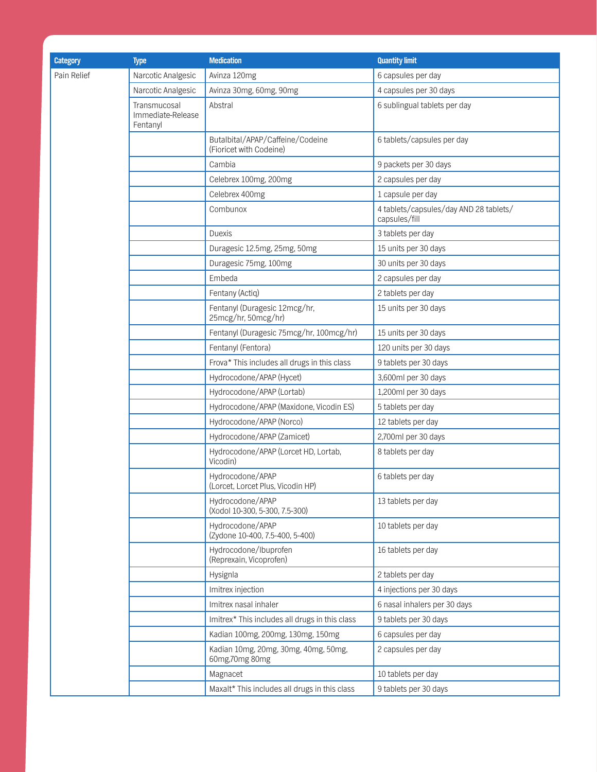| <b>Category</b> | <b>Type</b>                                   | <b>Medication</b>                                           | <b>Quantity limit</b>                                   |
|-----------------|-----------------------------------------------|-------------------------------------------------------------|---------------------------------------------------------|
| Pain Relief     | Narcotic Analgesic                            | Avinza 120mg                                                | 6 capsules per day                                      |
|                 | Narcotic Analgesic                            | Avinza 30mg, 60mg, 90mg                                     | 4 capsules per 30 days                                  |
|                 | Transmucosal<br>Immediate-Release<br>Fentanyl | Abstral                                                     | 6 sublingual tablets per day                            |
|                 |                                               | Butalbital/APAP/Caffeine/Codeine<br>(Fioricet with Codeine) | 6 tablets/capsules per day                              |
|                 |                                               | Cambia                                                      | 9 packets per 30 days                                   |
|                 |                                               | Celebrex 100mg, 200mg                                       | 2 capsules per day                                      |
|                 |                                               | Celebrex 400mg                                              | 1 capsule per day                                       |
|                 |                                               | Combunox                                                    | 4 tablets/capsules/day AND 28 tablets/<br>capsules/fill |
|                 |                                               | <b>Duexis</b>                                               | 3 tablets per day                                       |
|                 |                                               | Duragesic 12.5mg, 25mg, 50mg                                | 15 units per 30 days                                    |
|                 |                                               | Duragesic 75mg, 100mg                                       | 30 units per 30 days                                    |
|                 |                                               | Embeda                                                      | 2 capsules per day                                      |
|                 |                                               | Fentany (Actiq)                                             | 2 tablets per day                                       |
|                 |                                               | Fentanyl (Duragesic 12mcg/hr,<br>25mcg/hr, 50mcg/hr)        | 15 units per 30 days                                    |
|                 |                                               | Fentanyl (Duragesic 75mcg/hr, 100mcg/hr)                    | 15 units per 30 days                                    |
|                 |                                               | Fentanyl (Fentora)                                          | 120 units per 30 days                                   |
|                 |                                               | Frova* This includes all drugs in this class                | 9 tablets per 30 days                                   |
|                 |                                               | Hydrocodone/APAP (Hycet)                                    | 3,600ml per 30 days                                     |
|                 |                                               | Hydrocodone/APAP (Lortab)                                   | 1,200ml per 30 days                                     |
|                 |                                               | Hydrocodone/APAP (Maxidone, Vicodin ES)                     | 5 tablets per day                                       |
|                 |                                               | Hydrocodone/APAP (Norco)                                    | 12 tablets per day                                      |
|                 |                                               | Hydrocodone/APAP (Zamicet)                                  | 2,700ml per 30 days                                     |
|                 |                                               | Hydrocodone/APAP (Lorcet HD, Lortab,<br>Vicodin)            | 8 tablets per day                                       |
|                 |                                               | Hydrocodone/APAP<br>(Lorcet, Lorcet Plus, Vicodin HP)       | 6 tablets per day                                       |
|                 |                                               | Hydrocodone/APAP<br>(Xodol 10-300, 5-300, 7.5-300)          | 13 tablets per day                                      |
|                 |                                               | Hydrocodone/APAP<br>(Zydone 10-400, 7.5-400, 5-400)         | 10 tablets per day                                      |
|                 |                                               | Hydrocodone/Ibuprofen<br>(Reprexain, Vicoprofen)            | 16 tablets per day                                      |
|                 |                                               | Hysignla                                                    | 2 tablets per day                                       |
|                 |                                               | Imitrex injection                                           | 4 injections per 30 days                                |
|                 |                                               | Imitrex nasal inhaler                                       | 6 nasal inhalers per 30 days                            |
|                 |                                               | Imitrex* This includes all drugs in this class              | 9 tablets per 30 days                                   |
|                 |                                               | Kadian 100mg, 200mg, 130mg, 150mg                           | 6 capsules per day                                      |
|                 |                                               | Kadian 10mg, 20mg, 30mg, 40mg, 50mg,<br>60mg, 70mg 80mg     | 2 capsules per day                                      |
|                 |                                               | Magnacet                                                    | 10 tablets per day                                      |
|                 |                                               | Maxalt* This includes all drugs in this class               | 9 tablets per 30 days                                   |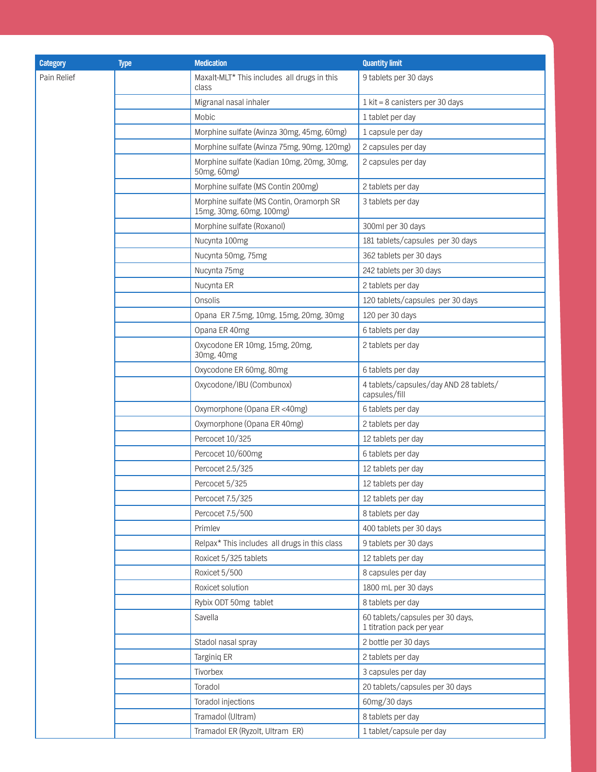| <b>Category</b> | <b>Type</b> | <b>Medication</b>                                                    | <b>Quantity limit</b>                                         |
|-----------------|-------------|----------------------------------------------------------------------|---------------------------------------------------------------|
| Pain Relief     |             | Maxalt-MLT* This includes all drugs in this                          | 9 tablets per 30 days                                         |
|                 |             | class                                                                |                                                               |
|                 |             | Migranal nasal inhaler                                               | 1 kit = 8 canisters per 30 days                               |
|                 |             | Mobic                                                                | 1 tablet per day                                              |
|                 |             | Morphine sulfate (Avinza 30mg, 45mg, 60mg)                           | 1 capsule per day                                             |
|                 |             | Morphine sulfate (Avinza 75mg, 90mg, 120mg)                          | 2 capsules per day                                            |
|                 |             | Morphine sulfate (Kadian 10mg, 20mg, 30mg,<br>50mg, 60mg)            | 2 capsules per day                                            |
|                 |             | Morphine sulfate (MS Contin 200mg)                                   | 2 tablets per day                                             |
|                 |             | Morphine sulfate (MS Contin, Oramorph SR<br>15mg, 30mg, 60mg, 100mg) | 3 tablets per day                                             |
|                 |             | Morphine sulfate (Roxanol)                                           | 300ml per 30 days                                             |
|                 |             | Nucynta 100mg                                                        | 181 tablets/capsules per 30 days                              |
|                 |             | Nucynta 50mg, 75mg                                                   | 362 tablets per 30 days                                       |
|                 |             | Nucynta 75mg                                                         | 242 tablets per 30 days                                       |
|                 |             | Nucynta ER                                                           | 2 tablets per day                                             |
|                 |             | Onsolis                                                              | 120 tablets/capsules per 30 days                              |
|                 |             | Opana ER 7.5mg, 10mg, 15mg, 20mg, 30mg                               | 120 per 30 days                                               |
|                 |             | Opana ER 40mg                                                        | 6 tablets per day                                             |
|                 |             | Oxycodone ER 10mg, 15mg, 20mg,<br>30mg, 40mg                         | 2 tablets per day                                             |
|                 |             | Oxycodone ER 60mg, 80mg                                              | 6 tablets per day                                             |
|                 |             | Oxycodone/IBU (Combunox)                                             | 4 tablets/capsules/day AND 28 tablets/<br>capsules/fill       |
|                 |             | Oxymorphone (Opana ER <40mg)                                         | 6 tablets per day                                             |
|                 |             | Oxymorphone (Opana ER 40mg)                                          | 2 tablets per day                                             |
|                 |             | Percocet 10/325                                                      | 12 tablets per day                                            |
|                 |             | Percocet 10/600mg                                                    | 6 tablets per day                                             |
|                 |             | Percocet 2.5/325                                                     | 12 tablets per day                                            |
|                 |             | Percocet 5/325                                                       | 12 tablets per day                                            |
|                 |             | Percocet 7.5/325                                                     | 12 tablets per day                                            |
|                 |             | Percocet 7.5/500                                                     | 8 tablets per day                                             |
|                 |             | Primlev                                                              | 400 tablets per 30 days                                       |
|                 |             | Relpax* This includes all drugs in this class                        | 9 tablets per 30 days                                         |
|                 |             | Roxicet 5/325 tablets                                                | 12 tablets per day                                            |
|                 |             | Roxicet 5/500                                                        | 8 capsules per day                                            |
|                 |             | Roxicet solution                                                     | 1800 mL per 30 days                                           |
|                 |             | Rybix ODT 50mg tablet                                                | 8 tablets per day                                             |
|                 |             | Savella                                                              | 60 tablets/capsules per 30 days,<br>1 titration pack per year |
|                 |             | Stadol nasal spray                                                   | 2 bottle per 30 days                                          |
|                 |             | Targiniq ER                                                          | 2 tablets per day                                             |
|                 |             | Tivorbex                                                             | 3 capsules per day                                            |
|                 |             | Toradol                                                              | 20 tablets/capsules per 30 days                               |
|                 |             | Toradol injections                                                   | 60mg/30 days                                                  |
|                 |             | Tramadol (Ultram)                                                    | 8 tablets per day                                             |
|                 |             | Tramadol ER (Ryzolt, Ultram ER)                                      | 1 tablet/capsule per day                                      |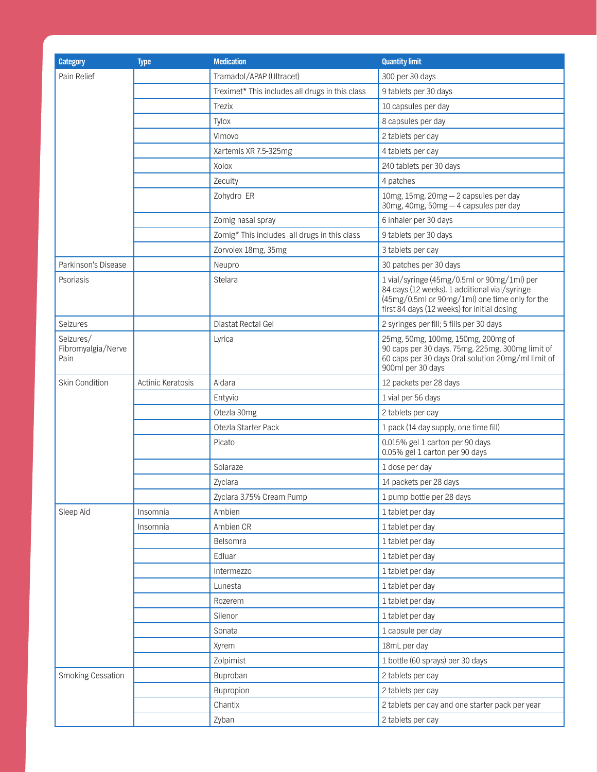| <b>Category</b>                         | <b>Type</b>       | <b>Medication</b>                               | <b>Quantity limit</b>                                                                                                                                                                         |
|-----------------------------------------|-------------------|-------------------------------------------------|-----------------------------------------------------------------------------------------------------------------------------------------------------------------------------------------------|
| Pain Relief                             |                   | Tramadol/APAP (Ultracet)                        | 300 per 30 days                                                                                                                                                                               |
|                                         |                   | Treximet* This includes all drugs in this class | 9 tablets per 30 days                                                                                                                                                                         |
|                                         |                   | <b>Trezix</b>                                   | 10 capsules per day                                                                                                                                                                           |
|                                         |                   | Tylox                                           | 8 capsules per day                                                                                                                                                                            |
|                                         |                   | Vimovo                                          | 2 tablets per day                                                                                                                                                                             |
|                                         |                   | Xartemis XR 7.5-325mg                           | 4 tablets per day                                                                                                                                                                             |
|                                         |                   | Xolox                                           | 240 tablets per 30 days                                                                                                                                                                       |
|                                         |                   | Zecuity                                         | 4 patches                                                                                                                                                                                     |
|                                         |                   | Zohydro ER                                      | 10mg, 15mg, 20mg - 2 capsules per day<br>30mg, 40mg, 50mg - 4 capsules per day                                                                                                                |
|                                         |                   | Zomig nasal spray                               | 6 inhaler per 30 days                                                                                                                                                                         |
|                                         |                   | Zomig* This includes all drugs in this class    | 9 tablets per 30 days                                                                                                                                                                         |
|                                         |                   | Zorvolex 18mg, 35mg                             | 3 tablets per day                                                                                                                                                                             |
| Parkinson's Disease                     |                   | Neupro                                          | 30 patches per 30 days                                                                                                                                                                        |
| Psoriasis                               |                   | Stelara                                         | 1 vial/syringe (45mg/0.5ml or 90mg/1ml) per<br>84 days (12 weeks). 1 additional vial/syringe<br>(45mg/0.5ml or 90mg/1ml) one time only for the<br>first 84 days (12 weeks) for initial dosing |
| <b>Seizures</b>                         |                   | Diastat Rectal Gel                              | 2 syringes per fill; 5 fills per 30 days                                                                                                                                                      |
| Seizures/<br>Fibromyalgia/Nerve<br>Pain |                   | Lyrica                                          | 25mg, 50mg, 100mg, 150mg, 200mg of<br>90 caps per 30 days, 75mg, 225mg, 300mg limit of<br>60 caps per 30 days Oral solution 20mg/ml limit of<br>900ml per 30 days                             |
| Skin Condition                          | Actinic Keratosis | Aldara                                          | 12 packets per 28 days                                                                                                                                                                        |
|                                         |                   | Entyvio                                         | 1 vial per 56 days                                                                                                                                                                            |
|                                         |                   | Otezla 30mg                                     | 2 tablets per day                                                                                                                                                                             |
|                                         |                   | Otezla Starter Pack                             | 1 pack (14 day supply, one time fill)                                                                                                                                                         |
|                                         |                   | Picato                                          | 0.015% gel 1 carton per 90 days<br>0.05% gel 1 carton per 90 days                                                                                                                             |
|                                         |                   | Solaraze                                        | 1 dose per day                                                                                                                                                                                |
|                                         |                   | Zyclara                                         | 14 packets per 28 days                                                                                                                                                                        |
|                                         |                   | Zyclara 3.75% Cream Pump                        | 1 pump bottle per 28 days                                                                                                                                                                     |
| Sleep Aid                               | Insomnia          | Ambien                                          | 1 tablet per day                                                                                                                                                                              |
|                                         | Insomnia          | Ambien CR                                       | 1 tablet per day                                                                                                                                                                              |
|                                         |                   | Belsomra                                        | 1 tablet per day                                                                                                                                                                              |
|                                         |                   | Edluar                                          | 1 tablet per day                                                                                                                                                                              |
|                                         |                   | Intermezzo                                      | 1 tablet per day                                                                                                                                                                              |
|                                         |                   | Lunesta                                         | 1 tablet per day                                                                                                                                                                              |
|                                         |                   | Rozerem                                         | 1 tablet per day                                                                                                                                                                              |
|                                         |                   | Silenor                                         | 1 tablet per day                                                                                                                                                                              |
|                                         |                   | Sonata                                          | 1 capsule per day                                                                                                                                                                             |
|                                         |                   | Xyrem                                           | 18mL per day                                                                                                                                                                                  |
|                                         |                   | Zolpimist                                       | 1 bottle (60 sprays) per 30 days                                                                                                                                                              |
| Smoking Cessation                       |                   | Buproban                                        | 2 tablets per day                                                                                                                                                                             |
|                                         |                   | Bupropion                                       | 2 tablets per day                                                                                                                                                                             |
|                                         |                   | Chantix                                         | 2 tablets per day and one starter pack per year                                                                                                                                               |
|                                         |                   | Zyban                                           | 2 tablets per day                                                                                                                                                                             |